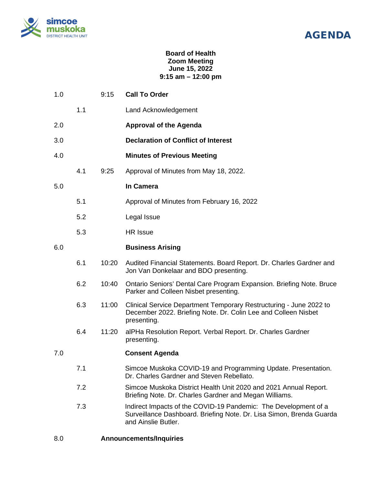

## AGENDA

## **Board of Health Zoom Meeting June 15, 2022 9:15 am – 12:00 pm**

| 1.0 |     | 9:15  | <b>Call To Order</b>                                                                                                                                           |
|-----|-----|-------|----------------------------------------------------------------------------------------------------------------------------------------------------------------|
|     | 1.1 |       | Land Acknowledgement                                                                                                                                           |
| 2.0 |     |       | <b>Approval of the Agenda</b>                                                                                                                                  |
| 3.0 |     |       | <b>Declaration of Conflict of Interest</b>                                                                                                                     |
| 4.0 |     |       | <b>Minutes of Previous Meeting</b>                                                                                                                             |
|     | 4.1 | 9:25  | Approval of Minutes from May 18, 2022.                                                                                                                         |
| 5.0 |     |       | In Camera                                                                                                                                                      |
|     | 5.1 |       | Approval of Minutes from February 16, 2022                                                                                                                     |
|     | 5.2 |       | Legal Issue                                                                                                                                                    |
|     | 5.3 |       | <b>HR</b> Issue                                                                                                                                                |
| 6.0 |     |       | <b>Business Arising</b>                                                                                                                                        |
|     | 6.1 | 10:20 | Audited Financial Statements. Board Report. Dr. Charles Gardner and<br>Jon Van Donkelaar and BDO presenting.                                                   |
|     | 6.2 | 10:40 | Ontario Seniors' Dental Care Program Expansion. Briefing Note. Bruce<br>Parker and Colleen Nisbet presenting.                                                  |
|     | 6.3 | 11:00 | Clinical Service Department Temporary Restructuring - June 2022 to<br>December 2022. Briefing Note. Dr. Colin Lee and Colleen Nisbet<br>presenting.            |
|     | 6.4 | 11:20 | alPHa Resolution Report. Verbal Report. Dr. Charles Gardner<br>presenting.                                                                                     |
| 7.0 |     |       | <b>Consent Agenda</b>                                                                                                                                          |
|     | 7.1 |       | Simcoe Muskoka COVID-19 and Programming Update. Presentation.<br>Dr. Charles Gardner and Steven Rebellato.                                                     |
|     | 7.2 |       | Simcoe Muskoka District Health Unit 2020 and 2021 Annual Report.<br>Briefing Note. Dr. Charles Gardner and Megan Williams.                                     |
|     | 7.3 |       | Indirect Impacts of the COVID-19 Pandemic: The Development of a<br>Surveillance Dashboard. Briefing Note. Dr. Lisa Simon, Brenda Guarda<br>and Ainslie Butler. |
|     |     |       |                                                                                                                                                                |

8.0 **Announcements/Inquiries**